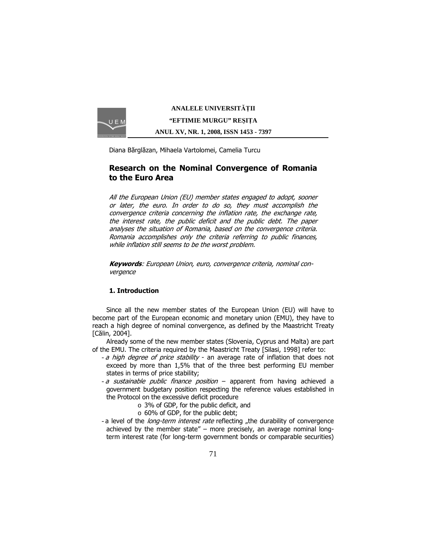

**ANALELE UNIVERSIT**Ăł**II "EFTIMIE MURGU" RE**Ş**I**ł**A ANUL XV, NR. 1, 2008, ISSN 1453 - 7397** 

Diana Bărglăzan, Mihaela Vartolomei, Camelia Turcu

# Research on the Nominal Convergence of Romania to the Euro Area

All the European Union (EU) member states engaged to adopt, sooner or later, the euro. In order to do so, they must accomplish the convergence criteria concerning the inflation rate, the exchange rate, the interest rate, the public deficit and the public debt. The paper analyses the situation of Romania, based on the convergence criteria. Romania accomplishes only the criteria referring to public finances, while inflation still seems to be the worst problem.

Keywords: European Union, euro, convergence criteria, nominal convergence

# 1. Introduction

Since all the new member states of the European Union (EU) will have to become part of the European economic and monetary union (EMU), they have to reach a high degree of nominal convergence, as defined by the Maastricht Treaty [Călin, 2004].

Already some of the new member states (Slovenia, Cyprus and Malta) are part of the EMU. The criteria required by the Maastricht Treaty [Silasi, 1998] refer to:

- a high degree of price stability an average rate of inflation that does not exceed by more than 1,5% that of the three best performing EU member states in terms of price stability;
- a sustainable public finance position apparent from having achieved a government budgetary position respecting the reference values established in the Protocol on the excessive deficit procedure
	- o 3% of GDP, for the public deficit, and
	- o 60% of GDP, for the public debt;
- a level of the *long-term interest rate* reflecting "the durability of convergence achieved by the member state" – more precisely, an average nominal longterm interest rate (for long-term government bonds or comparable securities)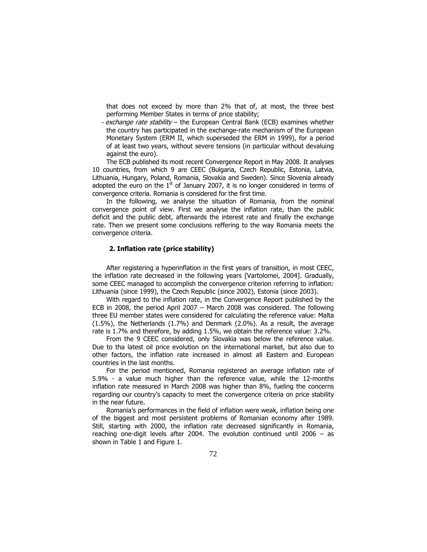that does not exceed by more than 2% that of, at most, the three best performing Member States in terms of price stability;

- exchange rate stability - the European Central Bank (ECB) examines whether the country has participated in the exchange-rate mechanism of the European Monetary System (ERM II, which superseded the ERM in 1999), for a period of at least two years, without severe tensions (in particular without devaluing against the euro).

The ECB published its most recent Convergence Report in May 2008. It analyses 10 countries, from which 9 are CEEC (Bulgaria, Czech Republic, Estonia, Latvia, Lithuania, Hungary, Poland, Romania, Slovakia and Sweden). Since Slovenia already adopted the euro on the  $1<sup>st</sup>$  of January 2007, it is no longer considered in terms of convergence criteria. Romania is considered for the first time.

In the following, we analyse the situation of Romania, from the nominal convergence point of view. First we analyse the inflation rate, than the public deficit and the public debt, afterwards the interest rate and finally the exchange rate. Then we present some conclusions reffering to the way Romania meets the convergence criteria.

# 2. Inflation rate (price stability)

After registering a hyperinflation in the first years of transition, in most CEEC, the inflation rate decreased in the following years [Vartolomei, 2004]. Gradually, some CEEC managed to accomplish the convergence criterion referring to inflation: Lithuania (since 1999), the Czech Republic (since 2002), Estonia (since 2003).

With regard to the inflation rate, in the Convergence Report published by the ECB in 2008, the period April 2007 – March 2008 was considered. The following three EU member states were considered for calculating the reference value: Malta (1.5%), the Netherlands (1.7%) and Denmark (2.0%). As a result, the average rate is 1.7% and therefore, by adding 1.5%, we obtain the reference value: 3.2%.

From the 9 CEEC considered, only Slovakia was below the reference value. Due to tha latest oil price evolution on the international market, but also due to other factors, the inflation rate increased in almost all Eastern and European countries in the last months.

For the period mentioned, Romania registered an average inflation rate of 5.9% - a value much higher than the reference value, while the 12-months inflation rate measured in March 2008 was higher than 8%, fueling the concerns regarding our country's capacity to meet the convergence criteria on price stability in the near future.

Romania's performances in the field of inflation were weak, inflation being one of the biggest and most persistent problems of Romanian economy after 1989. Still, starting with 2000, the inflation rate decreased significantly in Romania, reaching one-digit levels after 2004. The evolution continued until 2006 – as shown in Table 1 and Figure 1.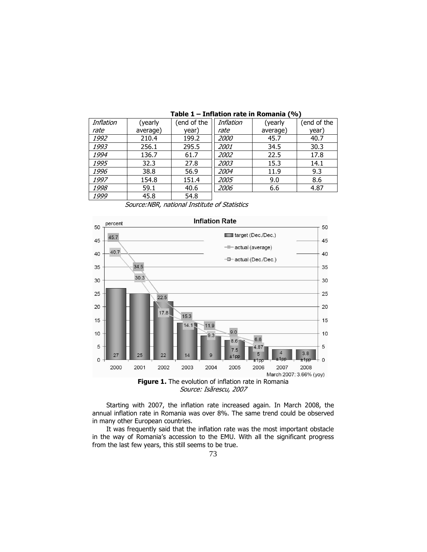| Inflation | (yearly  | (end of the | Inflation   | (yearly  | (end of the |
|-----------|----------|-------------|-------------|----------|-------------|
| rate      | average) | year)       | rate        | average) | vear)       |
| 1992      | 210.4    | 199.2       | <i>2000</i> | 45.7     | 40.7        |
| 1993      | 256.1    | 295.5       | 2001        | 34.5     | 30.3        |
| 1994      | 136.7    | 61.7        | 2002        | 22.5     | 17.8        |
| 1995      | 32.3     | 27.8        | 2003        | 15.3     | 14.1        |
| 1996      | 38.8     | 56.9        | 2004        | 11.9     | 9.3         |
| 1997      | 154.8    | 151.4       | 2005        | 9.0      | 8.6         |
| 1998      | 59.1     | 40.6        | 2006        | 6.6      | 4.87        |
| 1999      | 45.8     | 54.8        |             |          |             |

Table 1 – Inflation rate in Romania (%)

Source:NBR, national Institute of Statistics



Starting with 2007, the inflation rate increased again. In March 2008, the annual inflation rate in Romania was over 8%. The same trend could be observed in many other European countries.

It was frequently said that the inflation rate was the most important obstacle in the way of Romania's accession to the EMU. With all the significant progress from the last few years, this still seems to be true.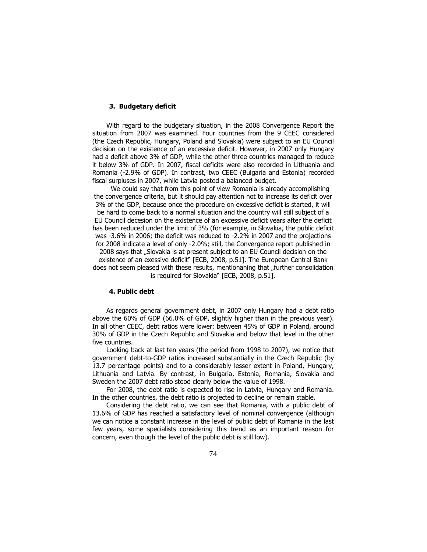#### 3. Budgetary deficit

With regard to the budgetary situation, in the 2008 Convergence Report the situation from 2007 was examined. Four countries from the 9 CEEC considered (the Czech Republic, Hungary, Poland and Slovakia) were subject to an EU Council decision on the existence of an excessive deficit. However, in 2007 only Hungary had a deficit above 3% of GDP, while the other three countries managed to reduce it below 3% of GDP. In 2007, fiscal deficits were also recorded in Lithuania and Romania (-2.9% of GDP). In contrast, two CEEC (Bulgaria and Estonia) recorded fiscal surpluses in 2007, while Latvia posted a balanced budget.

We could say that from this point of view Romania is already accomplishing the convergence criteria, but it should pay attention not to increase its deficit over 3% of the GDP, because once the procedure on excessive deficit is started, it will be hard to come back to a normal situation and the country will still subject of a EU Council decesion on the existence of an excessive deficit years after the deficit has been reduced under the limit of 3% (for example, in Slovakia, the public deficit was -3.6% in 2006; the deficit was reduced to -2.2% in 2007 and the projections for 2008 indicate a level of only -2.0%; still, the Convergence report published in 2008 says that "Slovakia is at present subject to an EU Council decision on the existence of an exessive deficit" [ECB, 2008, p.51]. The European Central Bank does not seem pleased with these results, mentionaning that "further consolidation is required for Slovakia" [ECB, 2008, p.51].

#### 4. Public debt

As regards general government debt, in 2007 only Hungary had a debt ratio above the 60% of GDP (66.0% of GDP, slightly higher than in the previous year). In all other CEEC, debt ratios were lower: between 45% of GDP in Poland, around 30% of GDP in the Czech Republic and Slovakia and below that level in the other five countries.

Looking back at last ten years (the period from 1998 to 2007), we notice that government debt-to-GDP ratios increased substantially in the Czech Republic (by 13.7 percentage points) and to a considerably lesser extent in Poland, Hungary, Lithuania and Latvia. By contrast, in Bulgaria, Estonia, Romania, Slovakia and Sweden the 2007 debt ratio stood clearly below the value of 1998.

For 2008, the debt ratio is expected to rise in Latvia, Hungary and Romania. In the other countries, the debt ratio is projected to decline or remain stable.

Considering the debt ratio, we can see that Romania, with a public debt of 13.6% of GDP has reached a satisfactory level of nominal convergence (although we can notice a constant increase in the level of public debt of Romania in the last few years, some specialists considering this trend as an important reason for concern, even though the level of the public debt is still low).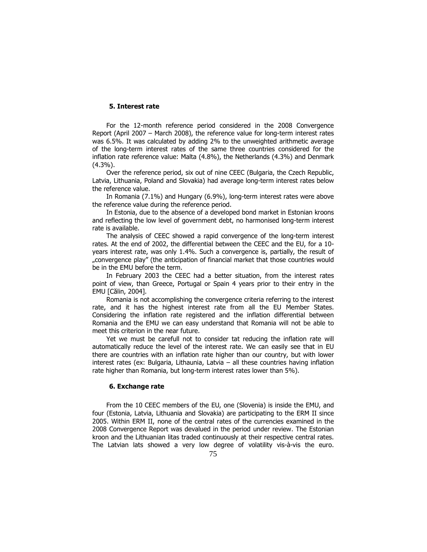### 5. Interest rate

For the 12-month reference period considered in the 2008 Convergence Report (April 2007 – March 2008), the reference value for long-term interest rates was 6.5%. It was calculated by adding 2% to the unweighted arithmetic average of the long-term interest rates of the same three countries considered for the inflation rate reference value: Malta (4.8%), the Netherlands (4.3%) and Denmark (4.3%).

Over the reference period, six out of nine CEEC (Bulgaria, the Czech Republic, Latvia, Lithuania, Poland and Slovakia) had average long-term interest rates below the reference value.

In Romania (7.1%) and Hungary (6.9%), long-term interest rates were above the reference value during the reference period.

In Estonia, due to the absence of a developed bond market in Estonian kroons and reflecting the low level of government debt, no harmonised long-term interest rate is available.

The analysis of CEEC showed a rapid convergence of the long-term interest rates. At the end of 2002, the differential between the CEEC and the EU, for a 10 years interest rate, was only 1.4%. Such a convergence is, partially, the result of "convergence play" (the anticipation of financial market that those countries would be in the EMU before the term.

In February 2003 the CEEC had a better situation, from the interest rates point of view, than Greece, Portugal or Spain 4 years prior to their entry in the EMU [Călin, 2004].

Romania is not accomplishing the convergence criteria referring to the interest rate, and it has the highest interest rate from all the EU Member States. Considering the inflation rate registered and the inflation differential between Romania and the EMU we can easy understand that Romania will not be able to meet this criterion in the near future.

Yet we must be carefull not to consider tat reducing the inflation rate will automatically reduce the level of the interest rate. We can easily see that in EU there are countries with an inflation rate higher than our country, but with lower interest rates (ex: Bulgaria, Lithaunia, Latvia – all these countries having inflation rate higher than Romania, but long-term interest rates lower than 5%).

# 6. Exchange rate

From the 10 CEEC members of the EU, one (Slovenia) is inside the EMU, and four (Estonia, Latvia, Lithuania and Slovakia) are participating to the ERM II since 2005. Within ERM II, none of the central rates of the currencies examined in the 2008 Convergence Report was devalued in the period under review. The Estonian kroon and the Lithuanian litas traded continuously at their respective central rates. The Latvian lats showed a very low degree of volatility vis-à-vis the euro.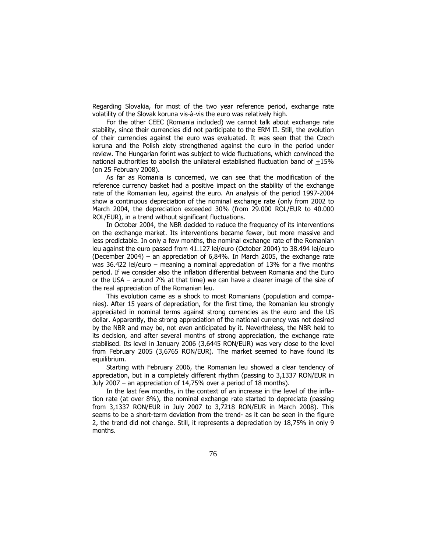Regarding Slovakia, for most of the two year reference period, exchange rate volatility of the Slovak koruna vis-à-vis the euro was relatively high.

For the other CEEC (Romania included) we cannot talk about exchange rate stability, since their currencies did not participate to the ERM II. Still, the evolution of their currencies against the euro was evaluated. It was seen that the Czech koruna and the Polish zloty strengthened against the euro in the period under review. The Hungarian forint was subject to wide fluctuations, which convinced the national authorities to abolish the unilateral established fluctuation band of +15% (on 25 February 2008).

As far as Romania is concerned, we can see that the modification of the reference currency basket had a positive impact on the stability of the exchange rate of the Romanian leu, against the euro. An analysis of the period 1997-2004 show a continuous depreciation of the nominal exchange rate (only from 2002 to March 2004, the depreciation exceeded 30% (from 29.000 ROL/EUR to 40.000 ROL/EUR), in a trend without significant fluctuations.

In October 2004, the NBR decided to reduce the frequency of its interventions on the exchange market. Its interventions became fewer, but more massive and less predictable. In only a few months, the nominal exchange rate of the Romanian leu against the euro passed from 41.127 lei/euro (October 2004) to 38.494 lei/euro (December 2004) – an appreciation of 6,84%. In March 2005, the exchange rate was 36.422 lei/euro – meaning a nominal appreciation of 13% for a five months period. If we consider also the inflation differential between Romania and the Euro or the USA – around 7% at that time) we can have a clearer image of the size of the real appreciation of the Romanian leu.

This evolution came as a shock to most Romanians (population and companies). After 15 years of depreciation, for the first time, the Romanian leu strongly appreciated in nominal terms against strong currencies as the euro and the US dollar. Apparently, the strong appreciation of the national currency was not desired by the NBR and may be, not even anticipated by it. Nevertheless, the NBR held to its decision, and after several months of strong appreciation, the exchange rate stabilised. Its level in January 2006 (3,6445 RON/EUR) was very close to the level from February 2005 (3,6765 RON/EUR). The market seemed to have found its equilibrium.

Starting with February 2006, the Romanian leu showed a clear tendency of appreciation, but in a completely different rhythm (passing to 3,1337 RON/EUR in July 2007 – an appreciation of 14,75% over a period of 18 months).

In the last few months, in the context of an increase in the level of the inflation rate (at over 8%), the nominal exchange rate started to depreciate (passing from 3,1337 RON/EUR in July 2007 to 3,7218 RON/EUR in March 2008). This seems to be a short-term deviation from the trend- as it can be seen in the figure 2, the trend did not change. Still, it represents a depreciation by 18,75% in only 9 months.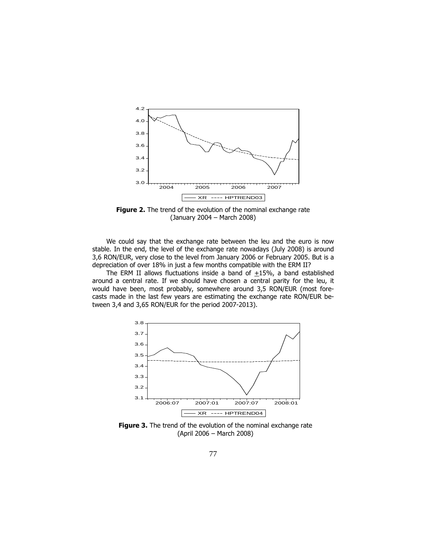

Figure 2. The trend of the evolution of the nominal exchange rate (January 2004 – March 2008)

We could say that the exchange rate between the leu and the euro is now stable. In the end, the level of the exchange rate nowadays (July 2008) is around 3,6 RON/EUR, very close to the level from January 2006 or February 2005. But is a depreciation of over 18% in just a few months compatible with the ERM II?

The ERM II allows fluctuations inside a band of  $\pm 15\%$ , a band established around a central rate. If we should have chosen a central parity for the leu, it would have been, most probably, somewhere around 3,5 RON/EUR (most forecasts made in the last few years are estimating the exchange rate RON/EUR between 3,4 and 3,65 RON/EUR for the period 2007-2013).



Figure 3. The trend of the evolution of the nominal exchange rate (April 2006 – March 2008)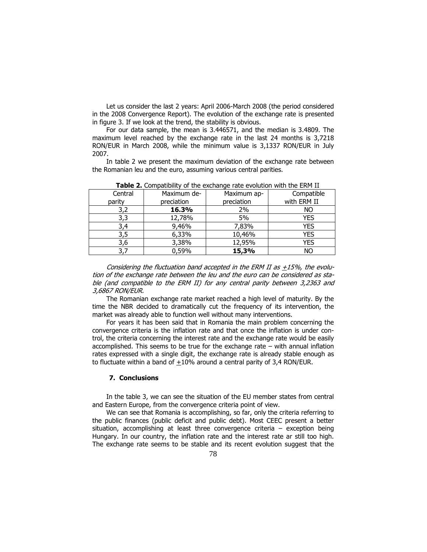Let us consider the last 2 years: April 2006-March 2008 (the period considered in the 2008 Convergence Report). The evolution of the exchange rate is presented in figure 3. If we look at the trend, the stability is obvious.

For our data sample, the mean is 3.446571, and the median is 3.4809. The maximum level reached by the exchange rate in the last 24 months is 3,7218 RON/EUR in March 2008, while the minimum value is 3,1337 RON/EUR in July 2007.

In table 2 we present the maximum deviation of the exchange rate between the Romanian leu and the euro, assuming various central parities.

| <b>TWEED AT COMPACIONICY</b> OF GITC CACHAING TALE CYORGON WIGH GITC ETM TILE |             |             |             |  |  |  |
|-------------------------------------------------------------------------------|-------------|-------------|-------------|--|--|--|
| Central                                                                       | Maximum de- | Maximum ap- | Compatible  |  |  |  |
| parity                                                                        | preciation  | preciation  | with ERM II |  |  |  |
| 3,2                                                                           | 16.3%       | 2%          | NO.         |  |  |  |
| 3,3                                                                           | 12,78%      | 5%          | <b>YES</b>  |  |  |  |
| 3.4                                                                           | 9,46%       | 7,83%       | <b>YES</b>  |  |  |  |
| 3,5                                                                           | 6,33%       | 10,46%      | <b>YES</b>  |  |  |  |
| 3,6                                                                           | 3,38%       | 12,95%      | <b>YES</b>  |  |  |  |
| 3,7                                                                           | 0,59%       | 15,3%       | NO          |  |  |  |

Table 2. Compatibility of the exchange rate evolution with the FRM II

Considering the fluctuation band accepted in the ERM II as  $\pm$ 15%, the evolution of the exchange rate between the leu and the euro can be considered as stable (and compatible to the ERM II) for any central parity between 3,2363 and 3,6867 RON/EUR.

The Romanian exchange rate market reached a high level of maturity. By the time the NBR decided to dramatically cut the frequency of its intervention, the market was already able to function well without many interventions.

For years it has been said that in Romania the main problem concerning the convergence criteria is the inflation rate and that once the inflation is under control, the criteria concerning the interest rate and the exchange rate would be easily accomplished. This seems to be true for the exchange rate – with annual inflation rates expressed with a single digit, the exchange rate is already stable enough as to fluctuate within a band of +10% around a central parity of 3,4 RON/EUR.

#### 7. Conclusions

In the table 3, we can see the situation of the EU member states from central and Eastern Europe, from the convergence criteria point of view.

We can see that Romania is accomplishing, so far, only the criteria referring to the public finances (public deficit and public debt). Most CEEC present a better situation, accomplishing at least three convergence criteria – exception being Hungary. In our country, the inflation rate and the interest rate ar still too high. The exchange rate seems to be stable and its recent evolution suggest that the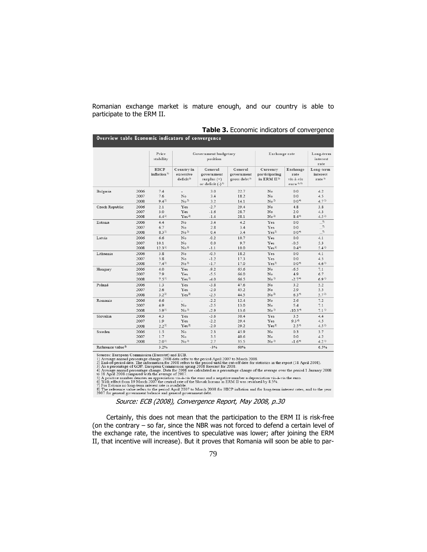Romanian exchange market is mature enough, and our country is able to participate to the ERM II.

|                           | <b>Table 3.</b> Economic indicators of convergence |  |
|---------------------------|----------------------------------------------------|--|
| indicators of convergence |                                                    |  |

|                               |      | Price<br>stability                     | Government budgetary<br>position                |                                                                | Exchange rate                               |                                                          | Long-term<br>interest<br>rate                                     |                                            |
|-------------------------------|------|----------------------------------------|-------------------------------------------------|----------------------------------------------------------------|---------------------------------------------|----------------------------------------------------------|-------------------------------------------------------------------|--------------------------------------------|
|                               |      | <b>HICP</b><br>inflation <sup>1)</sup> | Country in<br>excessive<br>deficit <sup>2</sup> | General<br>government<br>surplus $(+)$<br>or deficit $(-)^{3}$ | General<br>government<br>gross debt $^{3)}$ | Currency<br>participating<br>in ERM $\mathbf{II}^{\,2)}$ | Exchange<br>rate<br>vis-à-vis<br>euro <sup>4</sup> , <sup>5</sup> | Long-term<br>interest<br>rate <sup>1</sup> |
| Bulgaria                      | 2006 | 7.4                                    | ٠                                               | 3.0                                                            | 22.7                                        | No                                                       | 0.0                                                               | 4.2                                        |
|                               | 2007 | 7.6                                    | No                                              | 3.4                                                            | 18.2                                        | No                                                       | 0.0                                                               | 4.5                                        |
|                               | 2008 | $9.4^{11}$                             | No <sup>2</sup>                                 | 3.2                                                            | 14.1                                        | No <sup>2</sup>                                          | $0.0^{+0}$                                                        | 4.7 <sup>1</sup>                           |
| Czech Republic                | 2006 | 2.1                                    | Yes                                             | $-2.7$                                                         | 29.4                                        | No                                                       | 4.8                                                               | 3.8                                        |
|                               | 2007 | 3.0                                    | Yes                                             | $-1.6$                                                         | 28.7                                        | No                                                       | 2.0                                                               | 4.3                                        |
|                               | 2008 | $4.4^{1}$                              | Yes <sup>2</sup>                                | $-1.4$                                                         | 28.1                                        | No <sup>2</sup>                                          | $8.4^{+0}$                                                        | 4.5 <sup>1</sup>                           |
| Estonia                       | 2006 | 4.4                                    | No                                              | 3.4                                                            | 4.2                                         | Yes                                                      | 0.0                                                               | $\ldots$ <sup>7</sup>                      |
|                               | 2007 | 6.7                                    | No                                              | 2.8                                                            | 3.4                                         | Yes                                                      | 0.0                                                               | $\cdot$ .                                  |
|                               | 2008 | $8.3^{11}$                             | No <sup>2</sup>                                 | 0.4                                                            | 3.4                                         | Yes <sup>2</sup>                                         | $0.0^{+0}$                                                        | $\cdot$ 7                                  |
| Latvia                        | 2006 | 6.6                                    | $\mathbf{N} \circ$                              | $-0.2$                                                         | 10.7                                        | Yes                                                      | 0.0                                                               | 4.1                                        |
|                               | 2007 | 10.1                                   | No                                              | 0.0                                                            | 9.7                                         | Yes                                                      | $-0.5$                                                            | 5.3                                        |
|                               | 2008 | 12.3 <sup>1</sup>                      | No <sup>2</sup>                                 | $-1.1$                                                         | 10.0                                        | Yes <sup>2</sup>                                         | $0.4 +$                                                           | $5.4^{1}$                                  |
| Lithuania                     | 2006 | 3.8                                    | No                                              | $-0.5$                                                         | 18.2                                        | Yes                                                      | 0.0                                                               | 4.1                                        |
|                               | 2007 | 5.8                                    | No                                              | $-1.2$                                                         | 17.3                                        | Yes                                                      | 0.0                                                               | 4.5                                        |
|                               | 2008 | $7.4^{11}$                             | No <sup>2</sup>                                 | $-1.7$                                                         | 17.0                                        | Yes <sup>2</sup>                                         | $0.0^{+0}$                                                        | $4.6^{1}$                                  |
| Hungary                       | 2006 | 4.0                                    | Yes                                             | $-9.2$                                                         | 65.6                                        | No                                                       | $-6.5$                                                            | 7.1                                        |
|                               | 2007 | 7.9                                    | Yes                                             | $-5.5$                                                         | 66.0                                        | No                                                       | 4.9                                                               | 6.7                                        |
|                               | 2008 | $7.5^{11}$                             | Yes <sup>2</sup>                                | $-4.0$                                                         | 66.5                                        | No <sup>2</sup>                                          | $-2.74$                                                           | $6.9^{1}$                                  |
| Poland                        | 2006 | 1.3                                    | Yes                                             | $-3.8$                                                         | 47.6                                        | No                                                       | 3.2                                                               | 5.2                                        |
|                               | 2007 | 2.6                                    | Yes                                             | $-2.0$                                                         | 45.2                                        | No                                                       | 2.9                                                               | 5.5                                        |
|                               | 2008 | $3.2^{11}$                             | Yes <sup>2</sup>                                | $-2.5$                                                         | 44.5                                        | No <sup>2</sup>                                          | $6.3^{+0}$                                                        | 5.7 <sup>1</sup>                           |
| Romania                       | 2006 | 6.6                                    | ÷,                                              | $-2.2$                                                         | 12.4                                        | No                                                       | 2.6                                                               | 7.2                                        |
|                               | 2007 | 4.9                                    | No                                              | $-2.5$                                                         | 13.0                                        | No                                                       | 5.4                                                               | 7.1                                        |
|                               | 2008 | $5.9^{1}$                              | No <sup>2</sup>                                 | $-2.9$                                                         | 13.6                                        | No <sup>2</sup>                                          | $-10.3^{+0}$                                                      | $7.1^{11}$                                 |
| Slovakia                      | 2006 | 4.3                                    | Yes                                             | $-3.6$                                                         | 30.4                                        | Yes                                                      | 3.5                                                               | 4.4                                        |
|                               | 2007 | 1.9                                    | Yes                                             | $-2.2$                                                         | 29.4                                        | Yes                                                      | 9.36                                                              | 4.5                                        |
|                               | 2008 | $2.2^{11}$                             | Yes <sup>2</sup>                                | $-2.0$                                                         | 29.2                                        | Yes <sup>2</sup>                                         | 2.5 <sup>4</sup>                                                  | 4.5 <sup>1</sup>                           |
| Sweden                        | 2006 | 1.5                                    | $\mathbf{N} \circ$                              | 2.3                                                            | 45.9                                        | No                                                       | 0.3                                                               | 3.7                                        |
|                               | 2007 | 1.7                                    | No                                              | 3.5                                                            | 40.6                                        | No                                                       | 0.0                                                               | 4.2                                        |
|                               | 2008 | 2.0 <sup>1</sup>                       | No <sup>2</sup>                                 | 2.7                                                            | 35.5                                        | No <sup>2</sup>                                          | $-1.6^{+}$                                                        | $4.2^{1}$                                  |
| Reference value <sup>8)</sup> |      | 3.2%                                   |                                                 | $-3%$                                                          | 60%                                         |                                                          |                                                                   | 6.5%                                       |

Overview table Economic

Sources: European Commission (Eurostat) and ECB.<br>
1) Average annual percentage change. 2008 data refer to the period April 2007 to March 2008.<br>
2) End-of-period data. The information for 2008 data refer to the period unti

 $\frac{4}{3}$  To the general personal person and personal state of 2007.<br>The SM and SM and SM and SM and SM and SM and SM and SM and SM and SM and SM and SM and SM and SM and SM and SM and SM and SM and SM and SM and SM and S

Source: ECB (2008), Convergence Report, May 2008, p.30

Certainly, this does not mean that the participation to the ERM II is risk-free (on the contrary – so far, since the NBR was not forced to defend a certain level of the exchange rate, the incentives to speculative was lower; after joining the ERM II, that incentive will increase). But it proves that Romania will soon be able to par